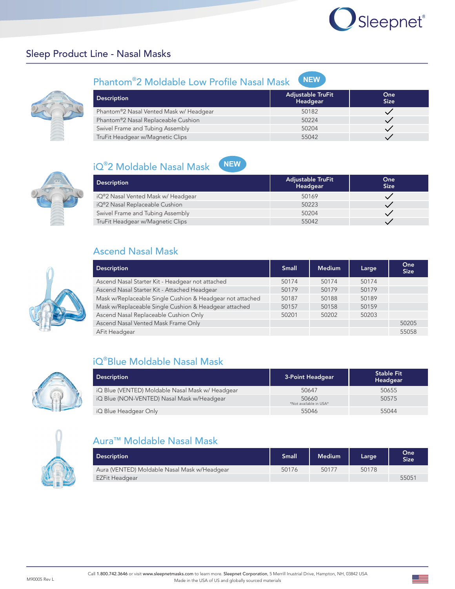# Sleepnet®

# Sleep Product Line - Nasal Masks



| Phantom®2 Moldable Low Profile Nasal Mask NEW |  |
|-----------------------------------------------|--|
|-----------------------------------------------|--|

| <b>Description</b>                      | <b>Adjustable TruFit</b><br>Headgear | One<br><b>Size</b> |
|-----------------------------------------|--------------------------------------|--------------------|
| Phantom®2 Nasal Vented Mask w/ Headgear | 50182                                |                    |
| Phantom®2 Nasal Replaceable Cushion     | 50224                                |                    |
| Swivel Frame and Tubing Assembly        | 50204                                |                    |
| TruFit Headgear w/Magnetic Clips        | 55042                                |                    |

**NEW**







| <b>NEW</b><br>iQ®2 Moldable Nasal Mask |                                      |                    |
|----------------------------------------|--------------------------------------|--------------------|
| <b>Description</b>                     | <b>Adjustable TruFit</b><br>Headgear | One<br><b>Size</b> |
| iQ®2 Nasal Vented Mask w/ Headgear     | 50169                                |                    |
| iQ®2 Nasal Replaceable Cushion         | 50223                                |                    |
| Swivel Frame and Tubing Assembly       | 50204                                |                    |
| TruFit Headgear w/Magnetic Clips       | 55042                                |                    |

## Ascend Nasal Mask

| <b>Description</b>                                        | <b>Small</b> | <b>Medium</b> | Large | One<br><b>Size</b> |
|-----------------------------------------------------------|--------------|---------------|-------|--------------------|
| Ascend Nasal Starter Kit - Headgear not attached          | 50174        | 50174         | 50174 |                    |
| Ascend Nasal Starter Kit - Attached Headgear              | 50179        | 50179         | 50179 |                    |
| Mask w/Replaceable Single Cushion & Headgear not attached | 50187        | 50188         | 50189 |                    |
| Mask w/Replaceable Single Cushion & Headgear attached     | 50157        | 50158         | 50159 |                    |
| Ascend Nasal Replaceable Cushion Only                     | 50201        | 50202         | 50203 |                    |
| Ascend Nasal Vented Mask Frame Only                       |              |               |       | 50205              |
| AFit Headgear                                             |              |               |       | 55058              |



# iQ® Blue Moldable Nasal Mask

| <b>Description</b>                               | 3-Point Headgear                | <b>Stable Fit</b><br>Headgear |
|--------------------------------------------------|---------------------------------|-------------------------------|
| iQ Blue (VENTED) Moldable Nasal Mask w/ Headgear | 50647                           | 50655                         |
| iQ Blue (NON-VENTED) Nasal Mask w/Headgear       | 50660<br>*Not available in USA* | 50575                         |
| iQ Blue Headgear Only                            | 55046                           | 55044                         |



# Aura™ Moldable Nasal Mask

| <b>Description</b>                           | <b>Small</b> | <b>Medium</b> | Large | One<br><b>Size</b> |
|----------------------------------------------|--------------|---------------|-------|--------------------|
| Aura (VENTED) Moldable Nasal Mask w/Headgear | 50176        | 50177         | 50178 |                    |
| EZFit Headgear                               |              |               |       | 55051              |

▩═